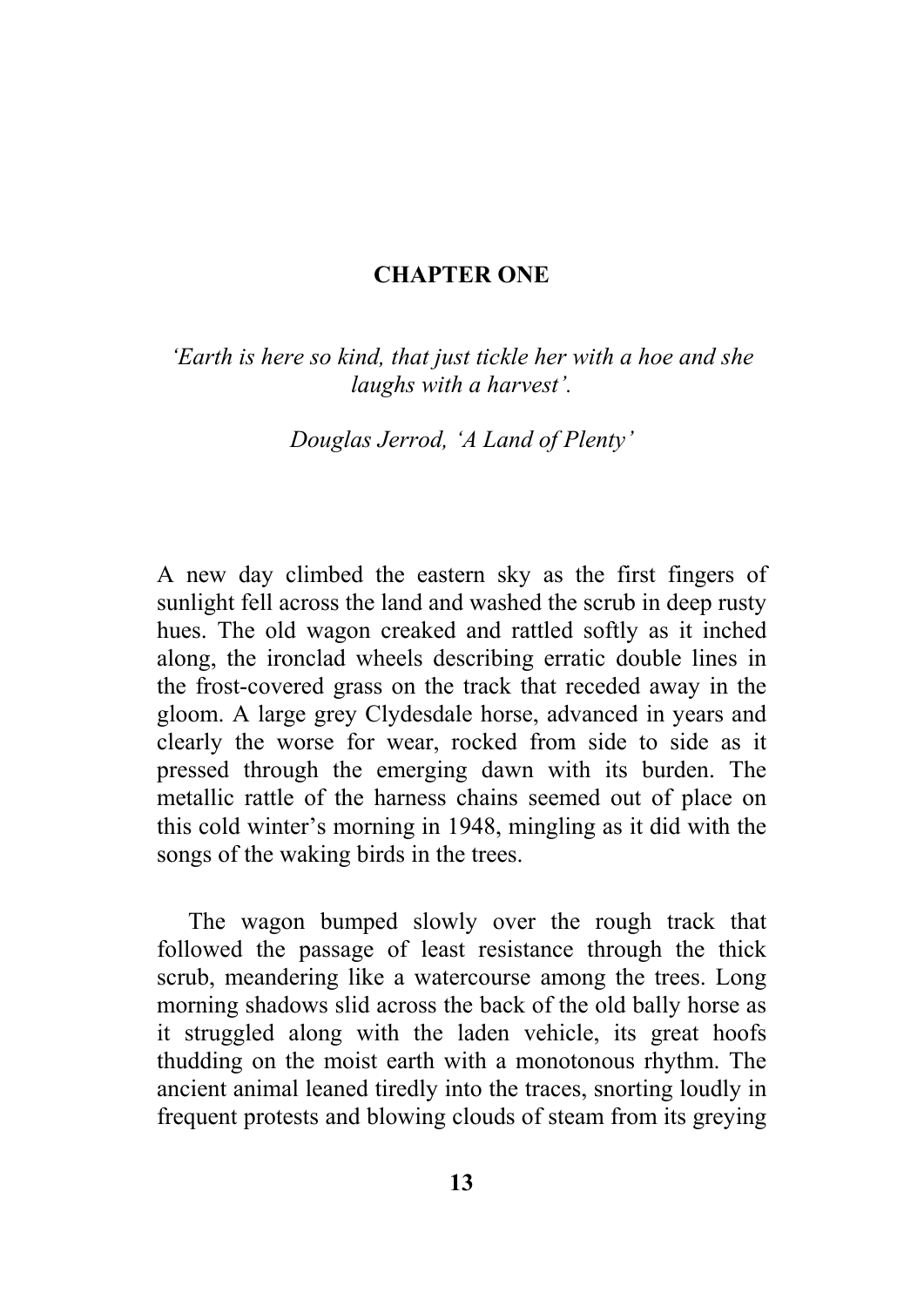## **CHAPTER ONE**

*'Earth is here so kind, that just tickle her with a hoe and she laughs with a harvest'.* 

*Douglas Jerrod, 'A Land of Plenty'* 

A new day climbed the eastern sky as the first fingers of sunlight fell across the land and washed the scrub in deep rusty hues. The old wagon creaked and rattled softly as it inched along, the ironclad wheels describing erratic double lines in the frost-covered grass on the track that receded away in the gloom. A large grey Clydesdale horse, advanced in years and clearly the worse for wear, rocked from side to side as it pressed through the emerging dawn with its burden. The metallic rattle of the harness chains seemed out of place on this cold winter's morning in 1948, mingling as it did with the songs of the waking birds in the trees.

The wagon bumped slowly over the rough track that followed the passage of least resistance through the thick scrub, meandering like a watercourse among the trees. Long morning shadows slid across the back of the old bally horse as it struggled along with the laden vehicle, its great hoofs thudding on the moist earth with a monotonous rhythm. The ancient animal leaned tiredly into the traces, snorting loudly in frequent protests and blowing clouds of steam from its greying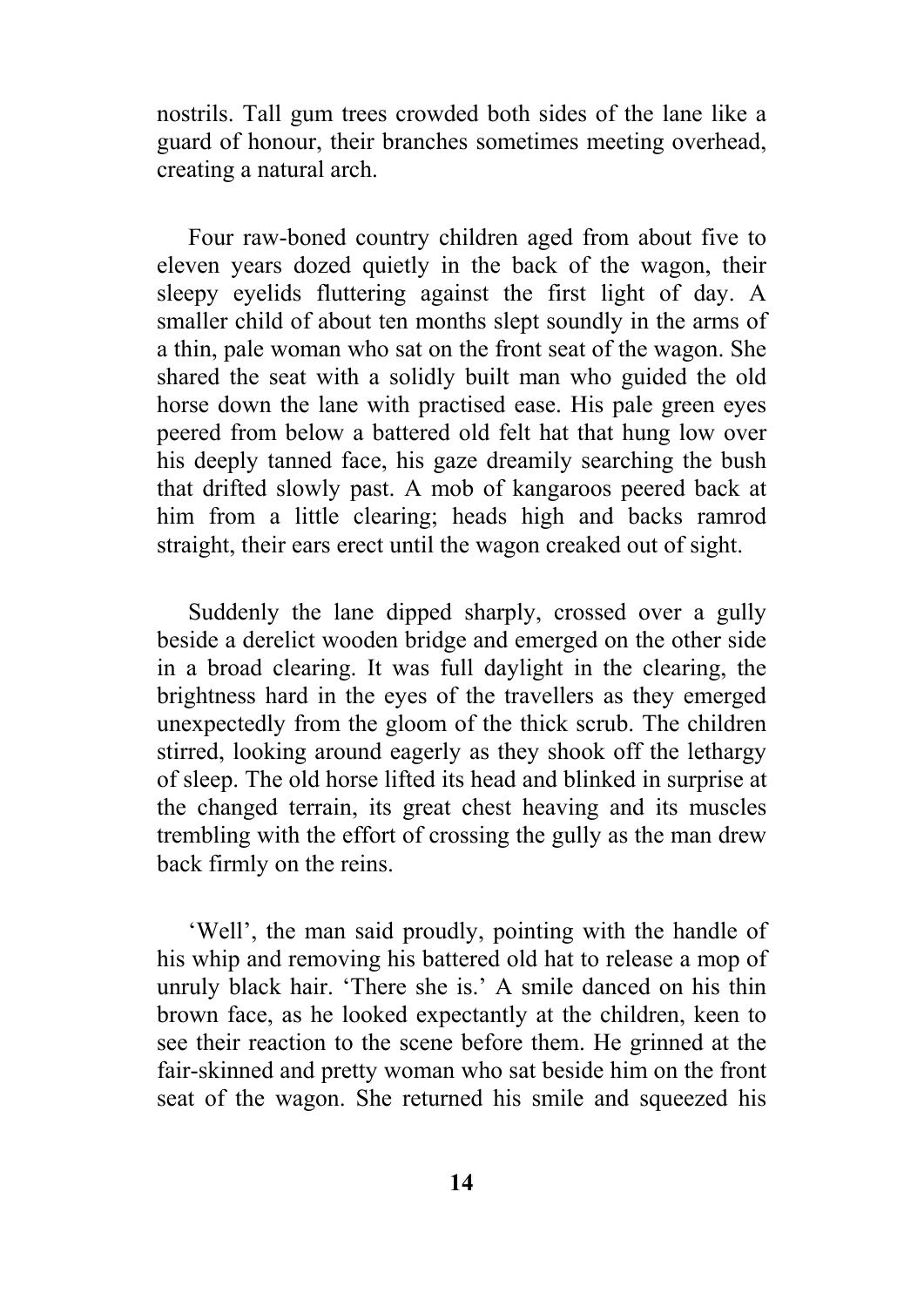nostrils. Tall gum trees crowded both sides of the lane like a guard of honour, their branches sometimes meeting overhead, creating a natural arch.

Four raw-boned country children aged from about five to eleven years dozed quietly in the back of the wagon, their sleepy eyelids fluttering against the first light of day. A smaller child of about ten months slept soundly in the arms of a thin, pale woman who sat on the front seat of the wagon. She shared the seat with a solidly built man who guided the old horse down the lane with practised ease. His pale green eyes peered from below a battered old felt hat that hung low over his deeply tanned face, his gaze dreamily searching the bush that drifted slowly past. A mob of kangaroos peered back at him from a little clearing; heads high and backs ramrod straight, their ears erect until the wagon creaked out of sight.

Suddenly the lane dipped sharply, crossed over a gully beside a derelict wooden bridge and emerged on the other side in a broad clearing. It was full daylight in the clearing, the brightness hard in the eyes of the travellers as they emerged unexpectedly from the gloom of the thick scrub. The children stirred, looking around eagerly as they shook off the lethargy of sleep. The old horse lifted its head and blinked in surprise at the changed terrain, its great chest heaving and its muscles trembling with the effort of crossing the gully as the man drew back firmly on the reins.

'Well', the man said proudly, pointing with the handle of his whip and removing his battered old hat to release a mop of unruly black hair. 'There she is.' A smile danced on his thin brown face, as he looked expectantly at the children, keen to see their reaction to the scene before them. He grinned at the fair-skinned and pretty woman who sat beside him on the front seat of the wagon. She returned his smile and squeezed his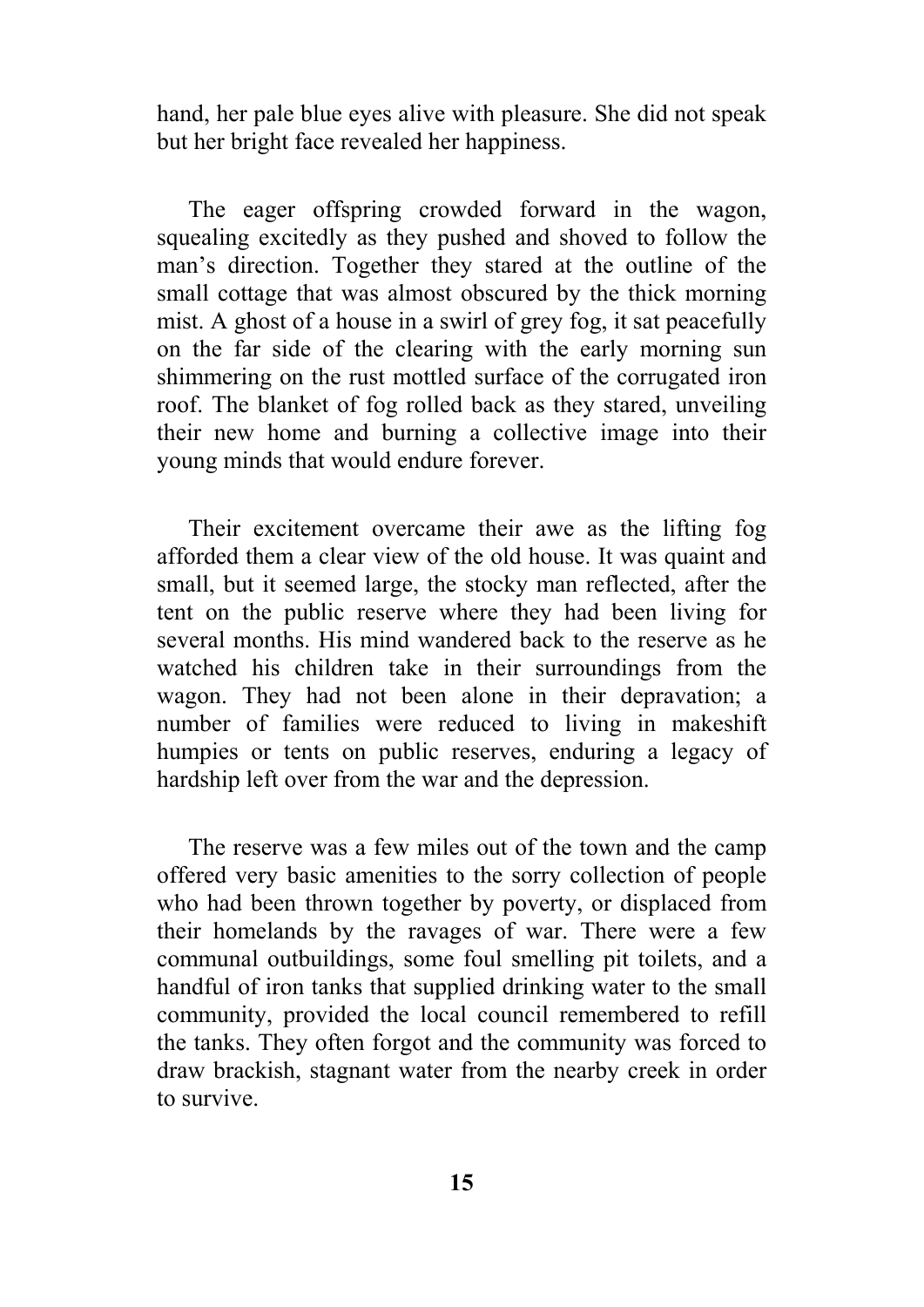hand, her pale blue eyes alive with pleasure. She did not speak but her bright face revealed her happiness.

The eager offspring crowded forward in the wagon, squealing excitedly as they pushed and shoved to follow the man's direction. Together they stared at the outline of the small cottage that was almost obscured by the thick morning mist. A ghost of a house in a swirl of grey fog, it sat peacefully on the far side of the clearing with the early morning sun shimmering on the rust mottled surface of the corrugated iron roof. The blanket of fog rolled back as they stared, unveiling their new home and burning a collective image into their young minds that would endure forever.

Their excitement overcame their awe as the lifting fog afforded them a clear view of the old house. It was quaint and small, but it seemed large, the stocky man reflected, after the tent on the public reserve where they had been living for several months. His mind wandered back to the reserve as he watched his children take in their surroundings from the wagon. They had not been alone in their depravation; a number of families were reduced to living in makeshift humpies or tents on public reserves, enduring a legacy of hardship left over from the war and the depression.

The reserve was a few miles out of the town and the camp offered very basic amenities to the sorry collection of people who had been thrown together by poverty, or displaced from their homelands by the ravages of war. There were a few communal outbuildings, some foul smelling pit toilets, and a handful of iron tanks that supplied drinking water to the small community, provided the local council remembered to refill the tanks. They often forgot and the community was forced to draw brackish, stagnant water from the nearby creek in order to survive.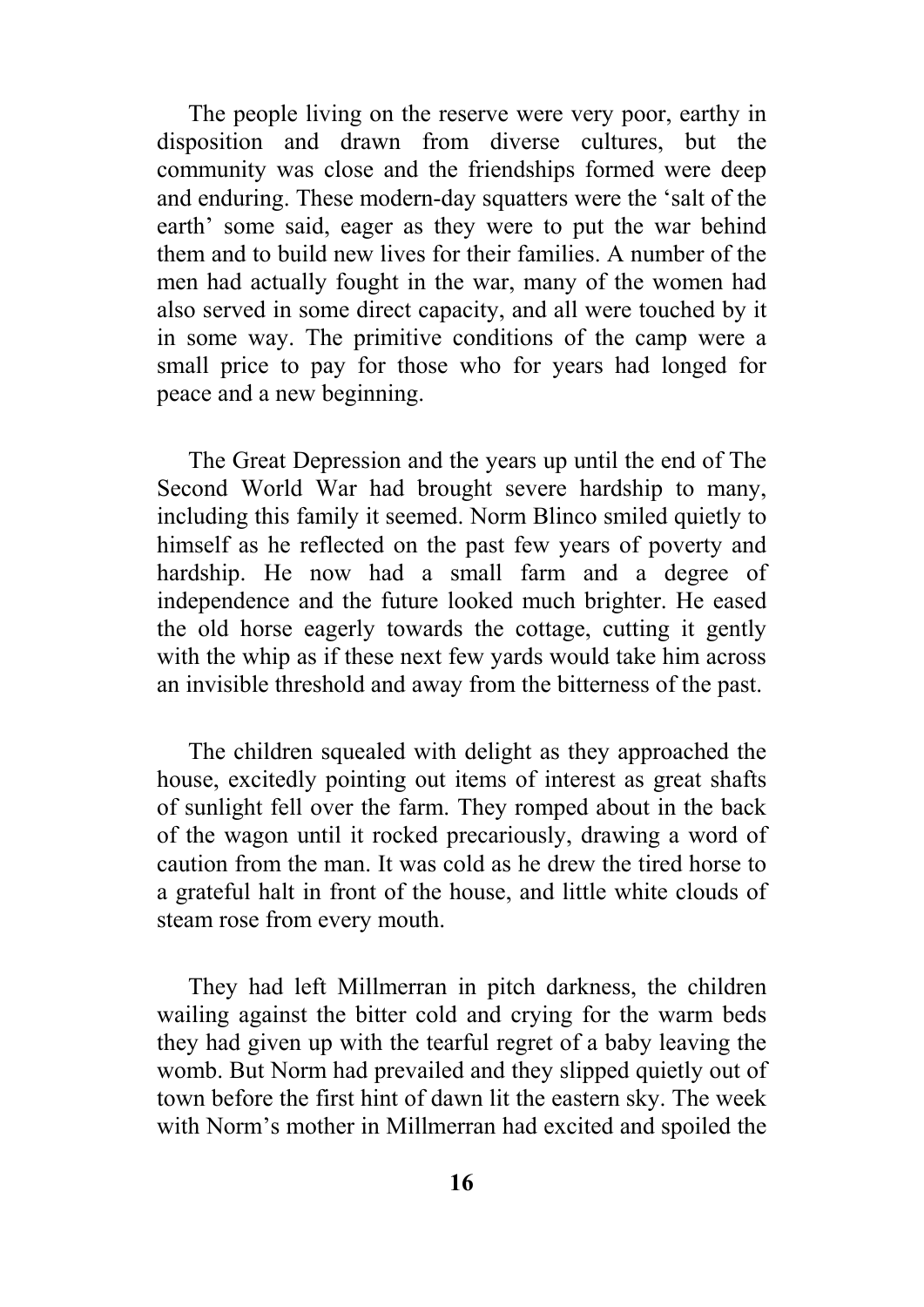The people living on the reserve were very poor, earthy in disposition and drawn from diverse cultures, but the community was close and the friendships formed were deep and enduring. These modern-day squatters were the 'salt of the earth' some said, eager as they were to put the war behind them and to build new lives for their families. A number of the men had actually fought in the war, many of the women had also served in some direct capacity, and all were touched by it in some way. The primitive conditions of the camp were a small price to pay for those who for years had longed for peace and a new beginning.

The Great Depression and the years up until the end of The Second World War had brought severe hardship to many, including this family it seemed. Norm Blinco smiled quietly to himself as he reflected on the past few years of poverty and hardship. He now had a small farm and a degree of independence and the future looked much brighter. He eased the old horse eagerly towards the cottage, cutting it gently with the whip as if these next few vards would take him across an invisible threshold and away from the bitterness of the past.

The children squealed with delight as they approached the house, excitedly pointing out items of interest as great shafts of sunlight fell over the farm. They romped about in the back of the wagon until it rocked precariously, drawing a word of caution from the man. It was cold as he drew the tired horse to a grateful halt in front of the house, and little white clouds of steam rose from every mouth.

They had left Millmerran in pitch darkness, the children wailing against the bitter cold and crying for the warm beds they had given up with the tearful regret of a baby leaving the womb. But Norm had prevailed and they slipped quietly out of town before the first hint of dawn lit the eastern sky. The week with Norm's mother in Millmerran had excited and spoiled the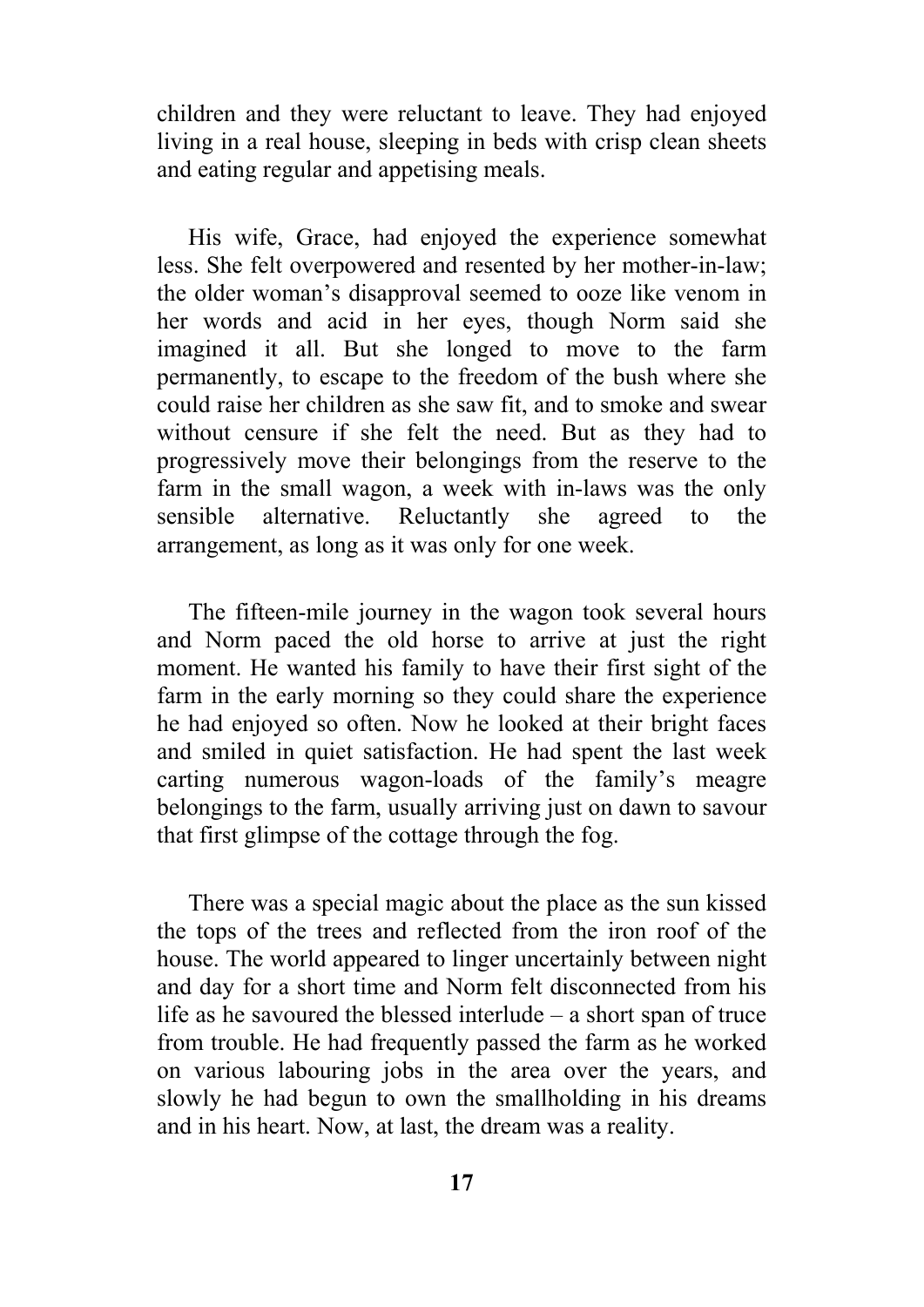children and they were reluctant to leave. They had enjoyed living in a real house, sleeping in beds with crisp clean sheets and eating regular and appetising meals.

His wife, Grace, had enjoyed the experience somewhat less. She felt overpowered and resented by her mother-in-law; the older woman's disapproval seemed to ooze like venom in her words and acid in her eyes, though Norm said she imagined it all. But she longed to move to the farm permanently, to escape to the freedom of the bush where she could raise her children as she saw fit, and to smoke and swear without censure if she felt the need. But as they had to progressively move their belongings from the reserve to the farm in the small wagon, a week with in-laws was the only sensible alternative. Reluctantly she agreed to the arrangement, as long as it was only for one week.

The fifteen-mile journey in the wagon took several hours and Norm paced the old horse to arrive at just the right moment. He wanted his family to have their first sight of the farm in the early morning so they could share the experience he had enjoyed so often. Now he looked at their bright faces and smiled in quiet satisfaction. He had spent the last week carting numerous wagon-loads of the family's meagre belongings to the farm, usually arriving just on dawn to savour that first glimpse of the cottage through the fog.

There was a special magic about the place as the sun kissed the tops of the trees and reflected from the iron roof of the house. The world appeared to linger uncertainly between night and day for a short time and Norm felt disconnected from his life as he savoured the blessed interlude – a short span of truce from trouble. He had frequently passed the farm as he worked on various labouring jobs in the area over the years, and slowly he had begun to own the smallholding in his dreams and in his heart. Now, at last, the dream was a reality.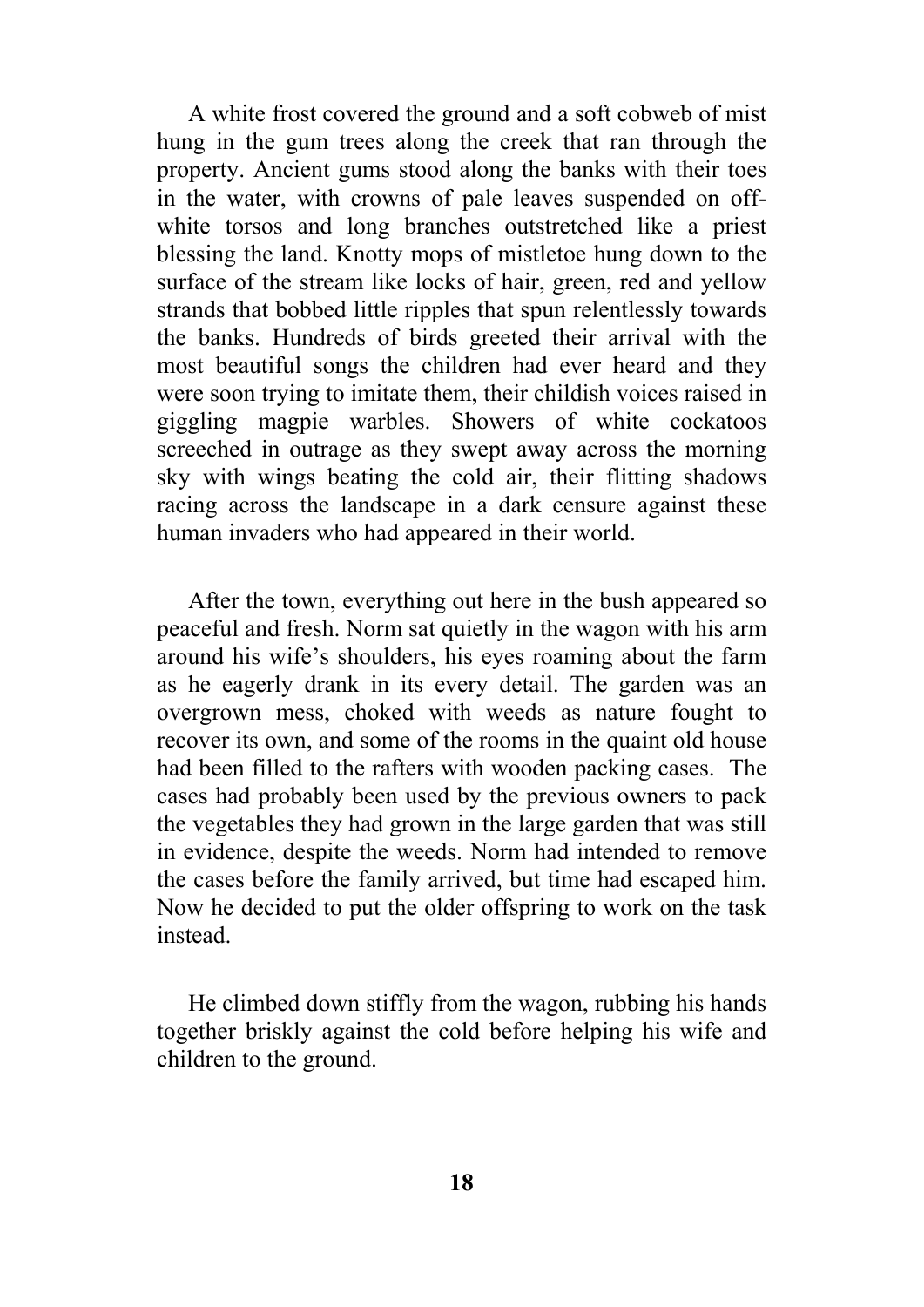A white frost covered the ground and a soft cobweb of mist hung in the gum trees along the creek that ran through the property. Ancient gums stood along the banks with their toes in the water, with crowns of pale leaves suspended on offwhite torsos and long branches outstretched like a priest blessing the land. Knotty mops of mistletoe hung down to the surface of the stream like locks of hair, green, red and yellow strands that bobbed little ripples that spun relentlessly towards the banks. Hundreds of birds greeted their arrival with the most beautiful songs the children had ever heard and they were soon trying to imitate them, their childish voices raised in giggling magpie warbles. Showers of white cockatoos screeched in outrage as they swept away across the morning sky with wings beating the cold air, their flitting shadows racing across the landscape in a dark censure against these human invaders who had appeared in their world.

After the town, everything out here in the bush appeared so peaceful and fresh. Norm sat quietly in the wagon with his arm around his wife's shoulders, his eyes roaming about the farm as he eagerly drank in its every detail. The garden was an overgrown mess, choked with weeds as nature fought to recover its own, and some of the rooms in the quaint old house had been filled to the rafters with wooden packing cases. The cases had probably been used by the previous owners to pack the vegetables they had grown in the large garden that was still in evidence, despite the weeds. Norm had intended to remove the cases before the family arrived, but time had escaped him. Now he decided to put the older offspring to work on the task instead.

He climbed down stiffly from the wagon, rubbing his hands together briskly against the cold before helping his wife and children to the ground.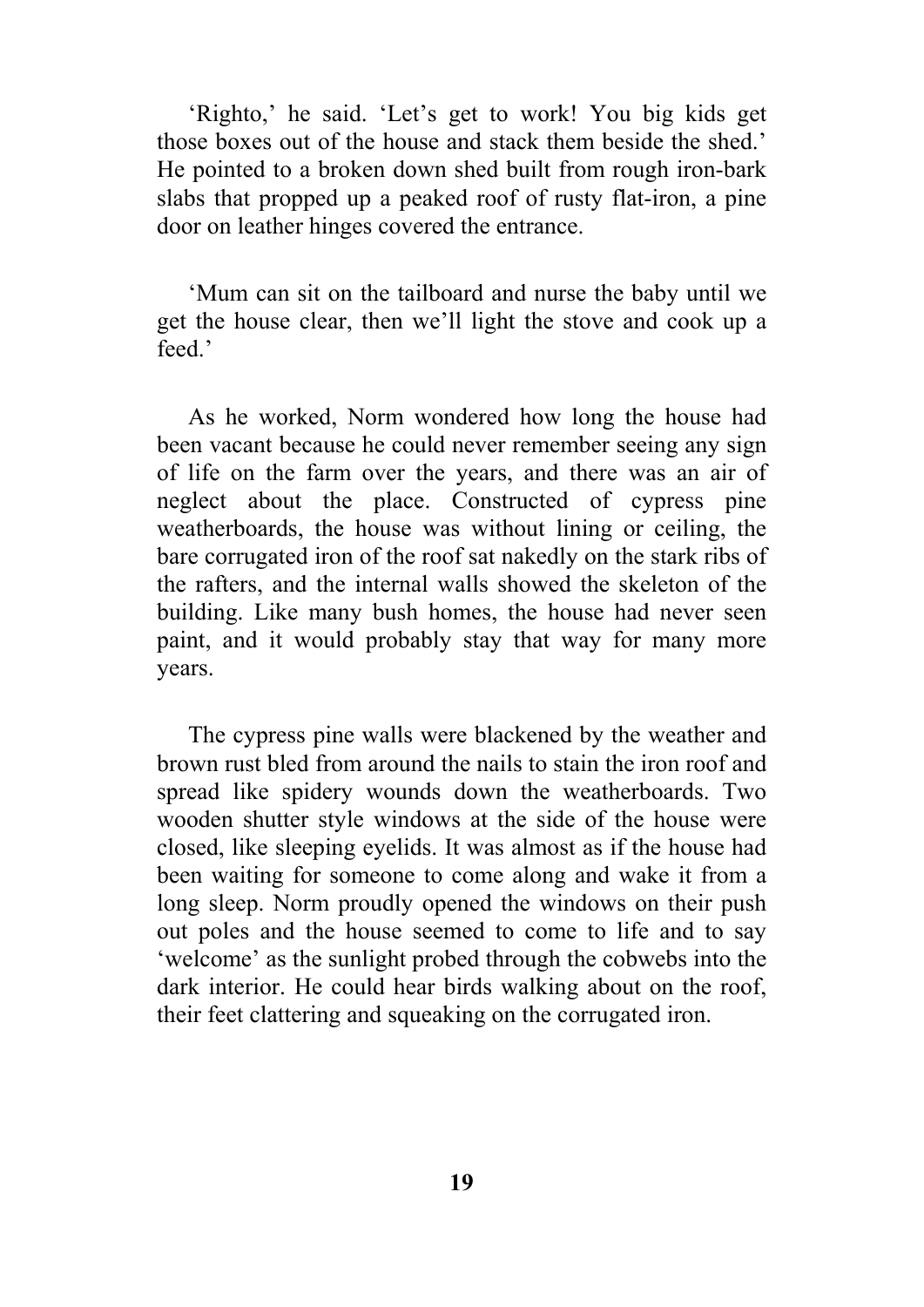'Righto,' he said. 'Let's get to work! You big kids get those boxes out of the house and stack them beside the shed.' He pointed to a broken down shed built from rough iron-bark slabs that propped up a peaked roof of rusty flat-iron, a pine door on leather hinges covered the entrance.

'Mum can sit on the tailboard and nurse the baby until we get the house clear, then we'll light the stove and cook up a feed.

As he worked, Norm wondered how long the house had been vacant because he could never remember seeing any sign of life on the farm over the years, and there was an air of neglect about the place. Constructed of cypress pine weatherboards, the house was without lining or ceiling, the bare corrugated iron of the roof sat nakedly on the stark ribs of the rafters, and the internal walls showed the skeleton of the building. Like many bush homes, the house had never seen paint, and it would probably stay that way for many more years.

The cypress pine walls were blackened by the weather and brown rust bled from around the nails to stain the iron roof and spread like spidery wounds down the weatherboards. Two wooden shutter style windows at the side of the house were closed, like sleeping eyelids. It was almost as if the house had been waiting for someone to come along and wake it from a long sleep. Norm proudly opened the windows on their push out poles and the house seemed to come to life and to say 'welcome' as the sunlight probed through the cobwebs into the dark interior. He could hear birds walking about on the roof, their feet clattering and squeaking on the corrugated iron.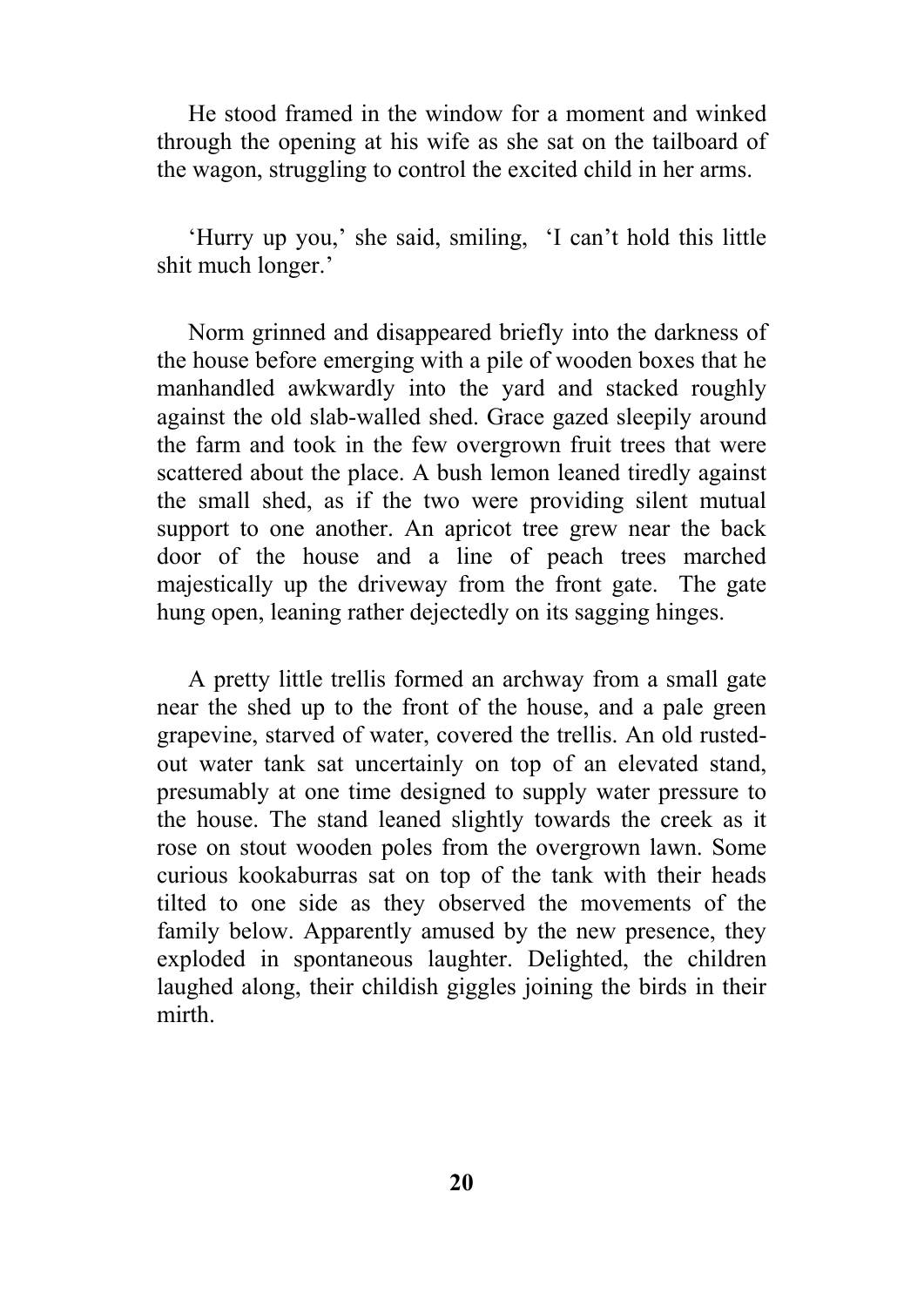He stood framed in the window for a moment and winked through the opening at his wife as she sat on the tailboard of the wagon, struggling to control the excited child in her arms.

'Hurry up you,' she said, smiling, 'I can't hold this little shit much longer.'

Norm grinned and disappeared briefly into the darkness of the house before emerging with a pile of wooden boxes that he manhandled awkwardly into the yard and stacked roughly against the old slab-walled shed. Grace gazed sleepily around the farm and took in the few overgrown fruit trees that were scattered about the place. A bush lemon leaned tiredly against the small shed, as if the two were providing silent mutual support to one another. An apricot tree grew near the back door of the house and a line of peach trees marched majestically up the driveway from the front gate. The gate hung open, leaning rather dejectedly on its sagging hinges.

A pretty little trellis formed an archway from a small gate near the shed up to the front of the house, and a pale green grapevine, starved of water, covered the trellis. An old rustedout water tank sat uncertainly on top of an elevated stand, presumably at one time designed to supply water pressure to the house. The stand leaned slightly towards the creek as it rose on stout wooden poles from the overgrown lawn. Some curious kookaburras sat on top of the tank with their heads tilted to one side as they observed the movements of the family below. Apparently amused by the new presence, they exploded in spontaneous laughter. Delighted, the children laughed along, their childish giggles joining the birds in their mirth.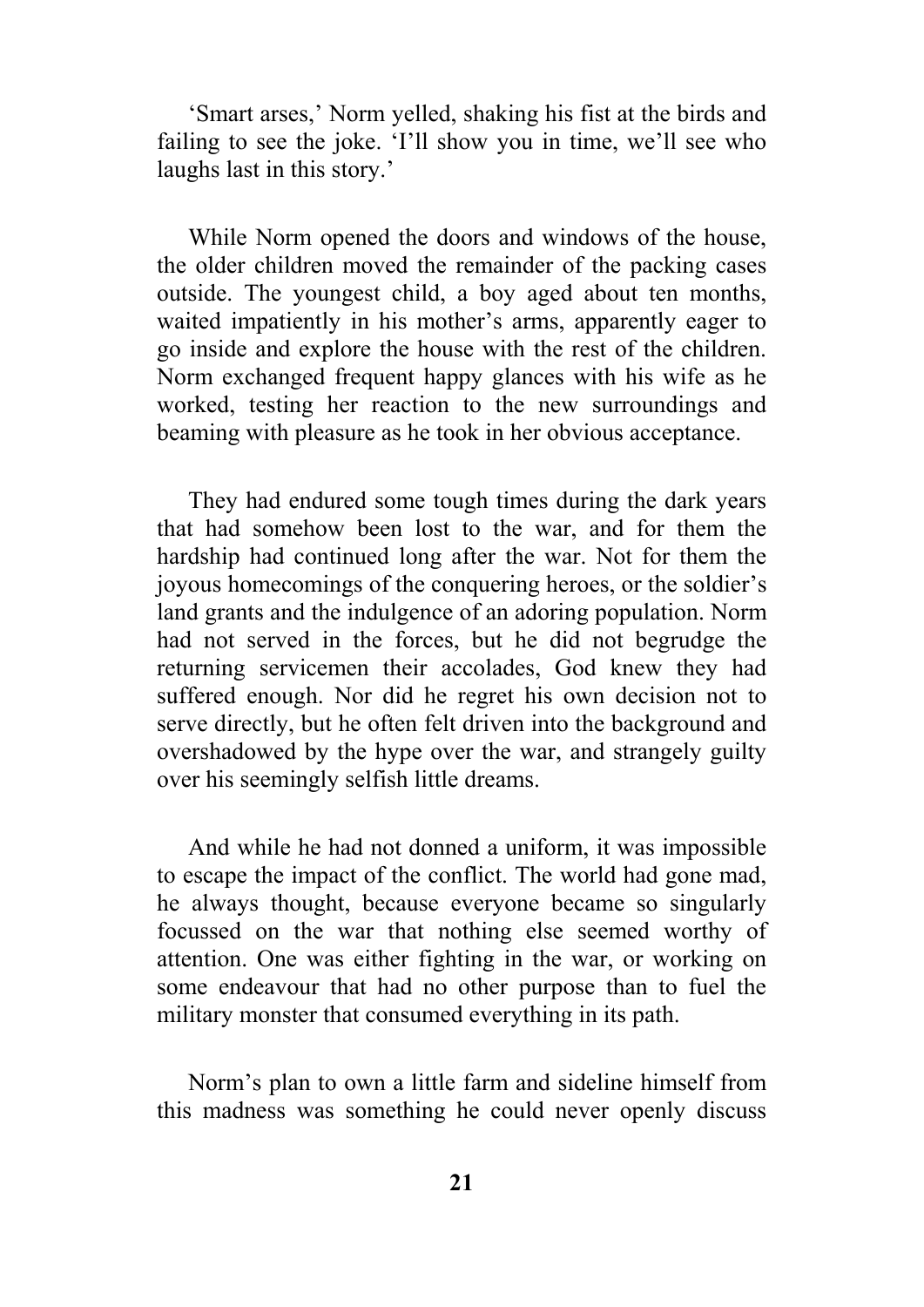'Smart arses,' Norm yelled, shaking his fist at the birds and failing to see the joke. 'I'll show you in time, we'll see who laughs last in this story.'

While Norm opened the doors and windows of the house, the older children moved the remainder of the packing cases outside. The youngest child, a boy aged about ten months, waited impatiently in his mother's arms, apparently eager to go inside and explore the house with the rest of the children. Norm exchanged frequent happy glances with his wife as he worked, testing her reaction to the new surroundings and beaming with pleasure as he took in her obvious acceptance.

They had endured some tough times during the dark years that had somehow been lost to the war, and for them the hardship had continued long after the war. Not for them the joyous homecomings of the conquering heroes, or the soldier's land grants and the indulgence of an adoring population. Norm had not served in the forces, but he did not begrudge the returning servicemen their accolades, God knew they had suffered enough. Nor did he regret his own decision not to serve directly, but he often felt driven into the background and overshadowed by the hype over the war, and strangely guilty over his seemingly selfish little dreams.

And while he had not donned a uniform, it was impossible to escape the impact of the conflict. The world had gone mad, he always thought, because everyone became so singularly focussed on the war that nothing else seemed worthy of attention. One was either fighting in the war, or working on some endeavour that had no other purpose than to fuel the military monster that consumed everything in its path.

Norm's plan to own a little farm and sideline himself from this madness was something he could never openly discuss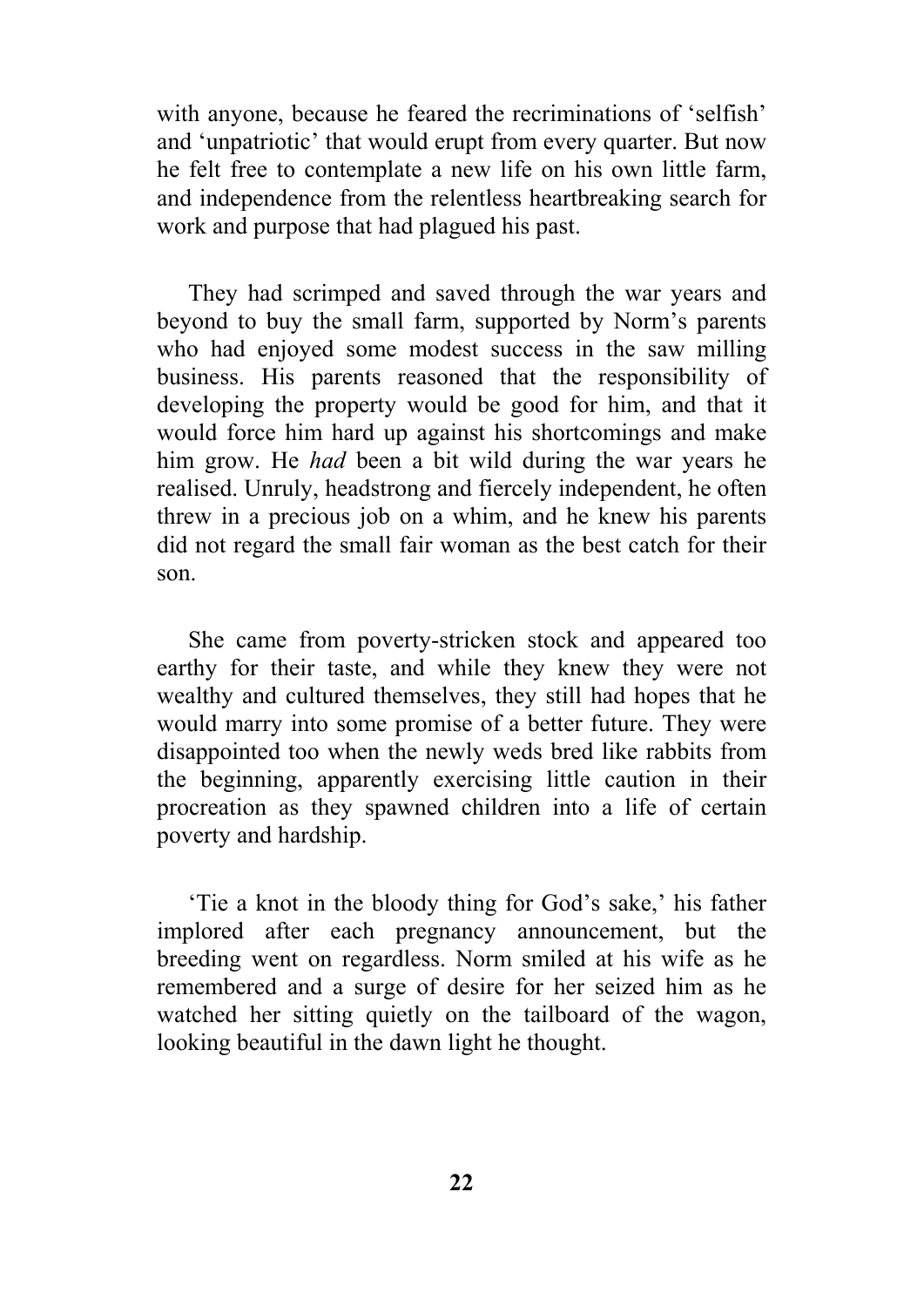with anyone, because he feared the recriminations of 'selfish' and 'unpatriotic' that would erupt from every quarter. But now he felt free to contemplate a new life on his own little farm, and independence from the relentless heartbreaking search for work and purpose that had plagued his past.

They had scrimped and saved through the war years and beyond to buy the small farm, supported by Norm's parents who had enjoyed some modest success in the saw milling business. His parents reasoned that the responsibility of developing the property would be good for him, and that it would force him hard up against his shortcomings and make him grow. He *had* been a bit wild during the war years he realised. Unruly, headstrong and fiercely independent, he often threw in a precious job on a whim, and he knew his parents did not regard the small fair woman as the best catch for their son.

She came from poverty-stricken stock and appeared too earthy for their taste, and while they knew they were not wealthy and cultured themselves, they still had hopes that he would marry into some promise of a better future. They were disappointed too when the newly weds bred like rabbits from the beginning, apparently exercising little caution in their procreation as they spawned children into a life of certain poverty and hardship.

'Tie a knot in the bloody thing for God's sake,' his father implored after each pregnancy announcement, but the breeding went on regardless. Norm smiled at his wife as he remembered and a surge of desire for her seized him as he watched her sitting quietly on the tailboard of the wagon, looking beautiful in the dawn light he thought.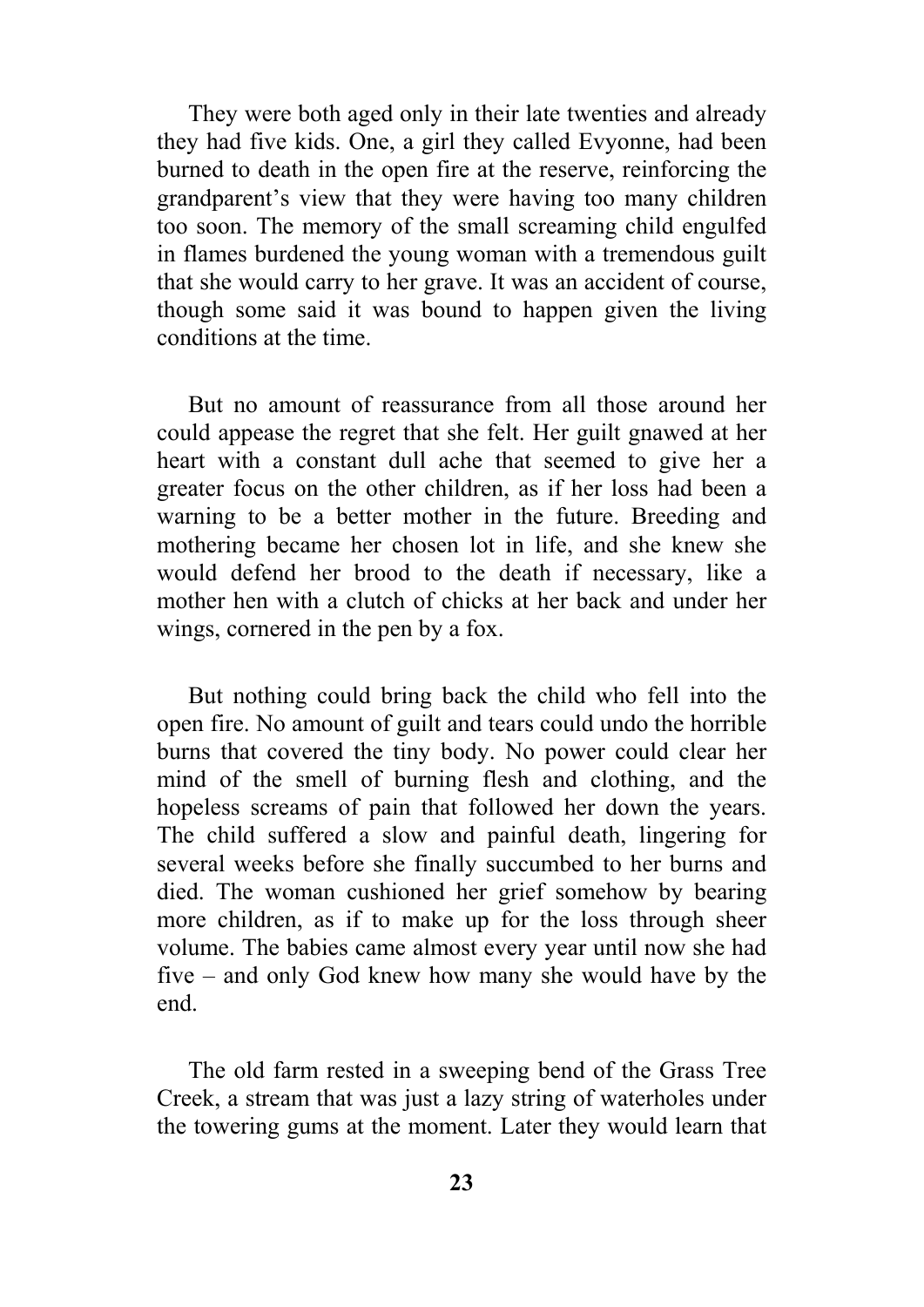They were both aged only in their late twenties and already they had five kids. One, a girl they called Evyonne, had been burned to death in the open fire at the reserve, reinforcing the grandparent's view that they were having too many children too soon. The memory of the small screaming child engulfed in flames burdened the young woman with a tremendous guilt that she would carry to her grave. It was an accident of course, though some said it was bound to happen given the living conditions at the time.

But no amount of reassurance from all those around her could appease the regret that she felt. Her guilt gnawed at her heart with a constant dull ache that seemed to give her a greater focus on the other children, as if her loss had been a warning to be a better mother in the future. Breeding and mothering became her chosen lot in life, and she knew she would defend her brood to the death if necessary, like a mother hen with a clutch of chicks at her back and under her wings, cornered in the pen by a fox.

But nothing could bring back the child who fell into the open fire. No amount of guilt and tears could undo the horrible burns that covered the tiny body. No power could clear her mind of the smell of burning flesh and clothing, and the hopeless screams of pain that followed her down the years. The child suffered a slow and painful death, lingering for several weeks before she finally succumbed to her burns and died. The woman cushioned her grief somehow by bearing more children, as if to make up for the loss through sheer volume. The babies came almost every year until now she had five – and only God knew how many she would have by the end.

The old farm rested in a sweeping bend of the Grass Tree Creek, a stream that was just a lazy string of waterholes under the towering gums at the moment. Later they would learn that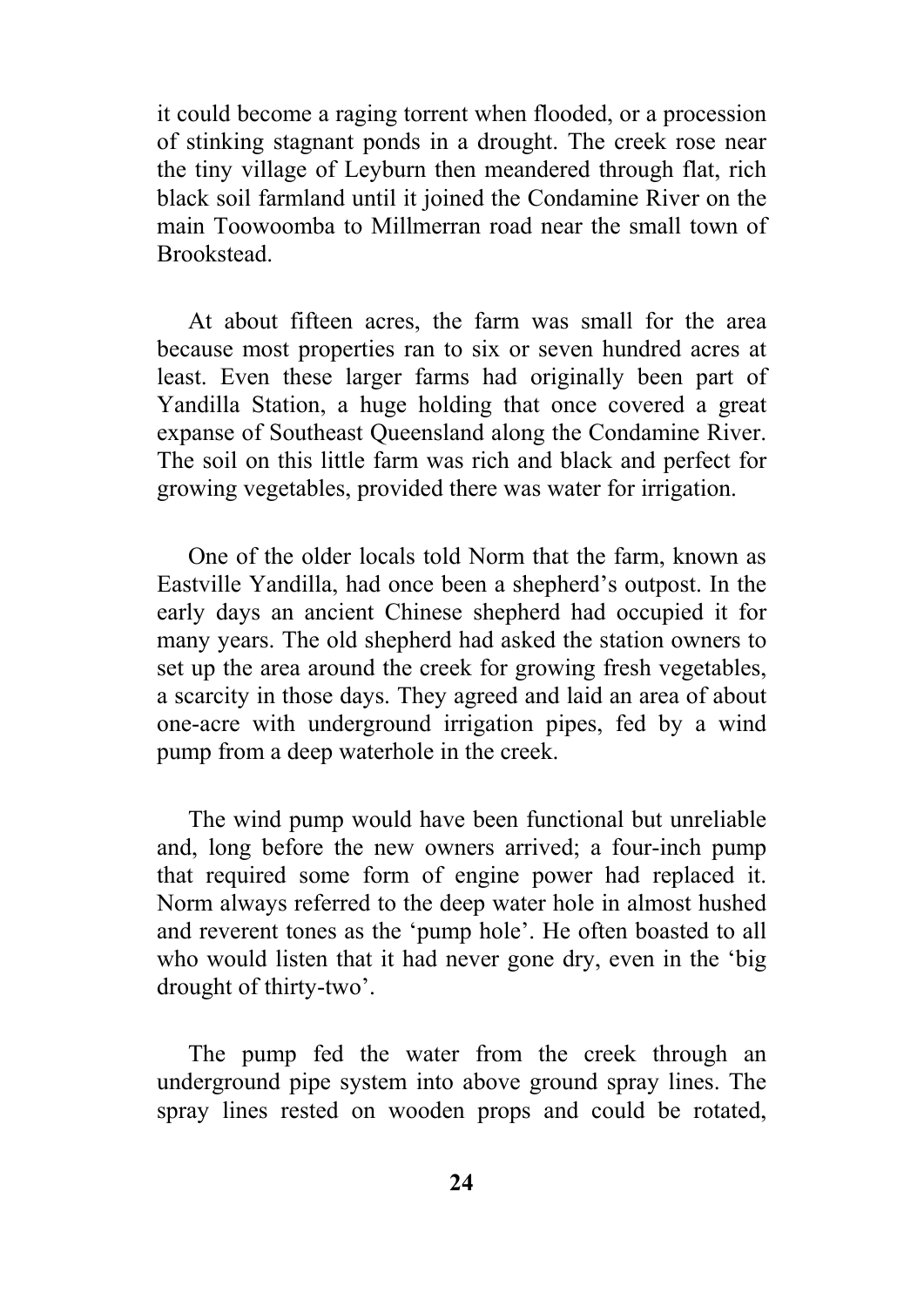it could become a raging torrent when flooded, or a procession of stinking stagnant ponds in a drought. The creek rose near the tiny village of Leyburn then meandered through flat, rich black soil farmland until it joined the Condamine River on the main Toowoomba to Millmerran road near the small town of **Brookstead.** 

At about fifteen acres, the farm was small for the area because most properties ran to six or seven hundred acres at least. Even these larger farms had originally been part of Yandilla Station, a huge holding that once covered a great expanse of Southeast Queensland along the Condamine River. The soil on this little farm was rich and black and perfect for growing vegetables, provided there was water for irrigation.

One of the older locals told Norm that the farm, known as Eastville Yandilla, had once been a shepherd's outpost. In the early days an ancient Chinese shepherd had occupied it for many years. The old shepherd had asked the station owners to set up the area around the creek for growing fresh vegetables, a scarcity in those days. They agreed and laid an area of about one-acre with underground irrigation pipes, fed by a wind pump from a deep waterhole in the creek.

The wind pump would have been functional but unreliable and, long before the new owners arrived; a four-inch pump that required some form of engine power had replaced it. Norm always referred to the deep water hole in almost hushed and reverent tones as the 'pump hole'. He often boasted to all who would listen that it had never gone dry, even in the 'big drought of thirty-two'.

The pump fed the water from the creek through an underground pipe system into above ground spray lines. The spray lines rested on wooden props and could be rotated,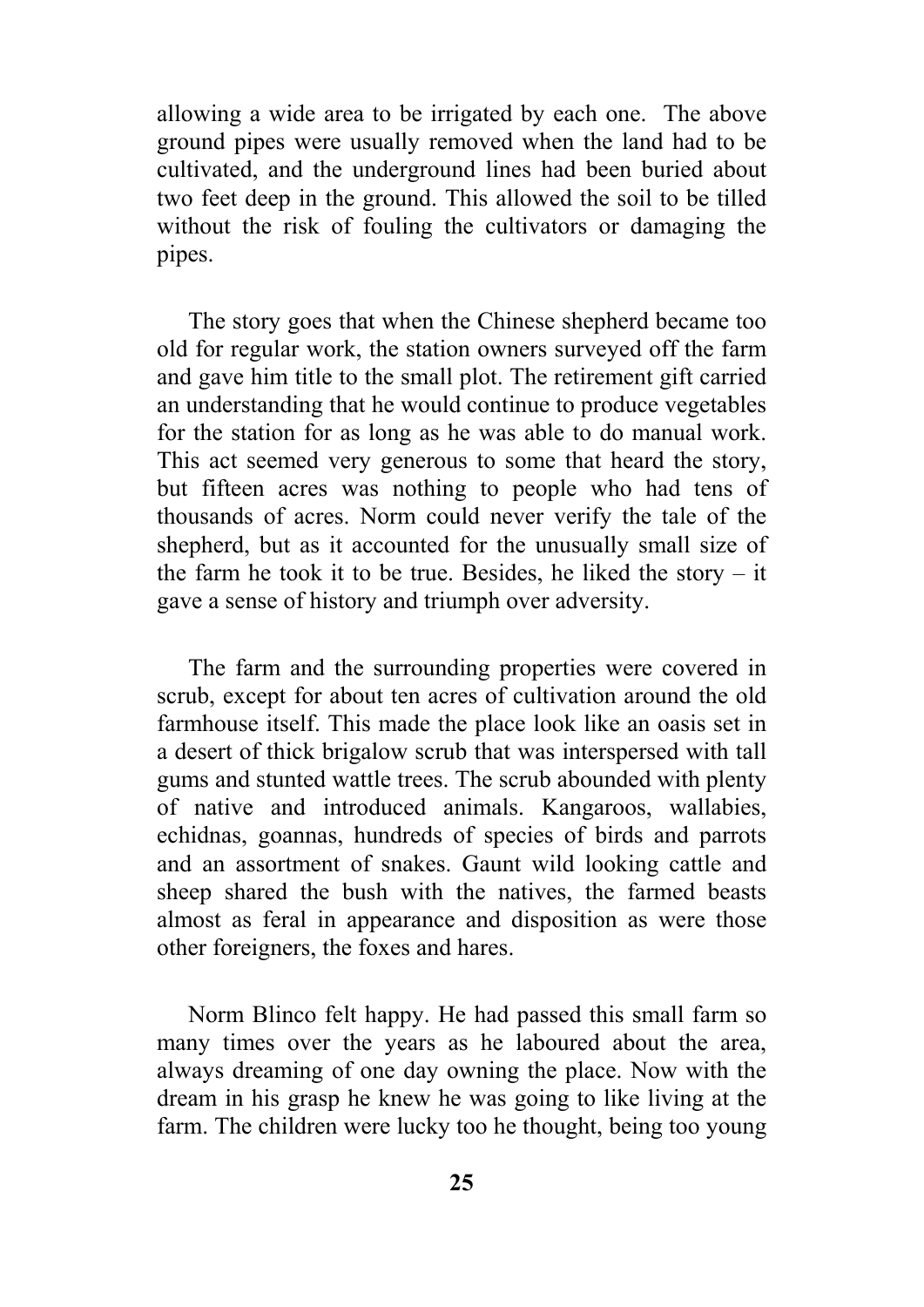allowing a wide area to be irrigated by each one. The above ground pipes were usually removed when the land had to be cultivated, and the underground lines had been buried about two feet deep in the ground. This allowed the soil to be tilled without the risk of fouling the cultivators or damaging the pipes.

The story goes that when the Chinese shepherd became too old for regular work, the station owners surveyed off the farm and gave him title to the small plot. The retirement gift carried an understanding that he would continue to produce vegetables for the station for as long as he was able to do manual work. This act seemed very generous to some that heard the story, but fifteen acres was nothing to people who had tens of thousands of acres. Norm could never verify the tale of the shepherd, but as it accounted for the unusually small size of the farm he took it to be true. Besides, he liked the story – it gave a sense of history and triumph over adversity.

The farm and the surrounding properties were covered in scrub, except for about ten acres of cultivation around the old farmhouse itself. This made the place look like an oasis set in a desert of thick brigalow scrub that was interspersed with tall gums and stunted wattle trees. The scrub abounded with plenty of native and introduced animals. Kangaroos, wallabies, echidnas, goannas, hundreds of species of birds and parrots and an assortment of snakes. Gaunt wild looking cattle and sheep shared the bush with the natives, the farmed beasts almost as feral in appearance and disposition as were those other foreigners, the foxes and hares.

Norm Blinco felt happy. He had passed this small farm so many times over the years as he laboured about the area, always dreaming of one day owning the place. Now with the dream in his grasp he knew he was going to like living at the farm. The children were lucky too he thought, being too young